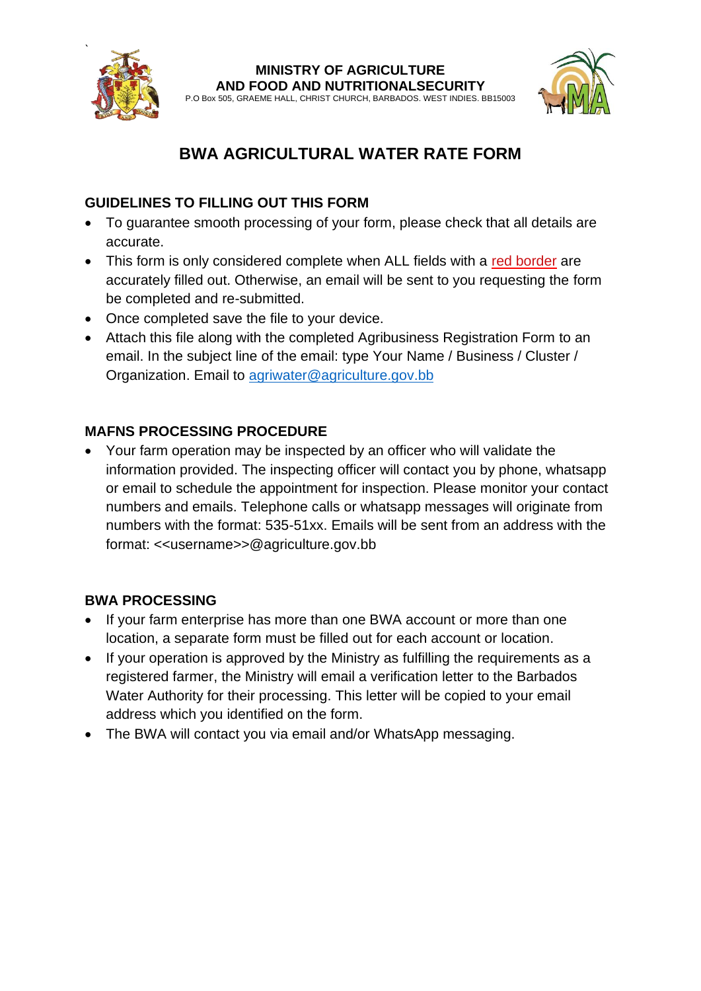

#### **MINISTRY OF AGRICULTURE AND FOOD AND NUTRITIONALSECURITY**

P.O Box 505, GRAEME HALL, CHRIST CHURCH, BARBADOS. WEST INDIES. BB15003



# **BWA AGRICULTURAL WATER RATE FORM**

### **GUIDELINES TO FILLING OUT THIS FORM**

- To guarantee smooth processing of your form, please check that all details are accurate.
- This form is only considered complete when ALL fields with a red border are accurately filled out. Otherwise, an email will be sent to you requesting the form be completed and re-submitted.
- Once completed save the file to your device.
- Attach this file along with the completed Agribusiness Registration Form to an email. In the subject line of the email: type Your Name / Business / Cluster / Organization. Email to [agriwater@agriculture.gov.bb](mailto:agriwater@agriculture.gov.bb)

### **MAFNS PROCESSING PROCEDURE**

• Your farm operation may be inspected by an officer who will validate the information provided. The inspecting officer will contact you by phone, whatsapp or email to schedule the appointment for inspection. Please monitor your contact numbers and emails. Telephone calls or whatsapp messages will originate from numbers with the format: 535-51xx. Emails will be sent from an address with the format: <<username>>@agriculture.gov.bb

### **BWA PROCESSING**

- If your farm enterprise has more than one BWA account or more than one location, a separate form must be filled out for each account or location.
- If your operation is approved by the Ministry as fulfilling the requirements as a registered farmer, the Ministry will email a verification letter to the Barbados Water Authority for their processing. This letter will be copied to your email address which you identified on the form.
- The BWA will contact you via email and/or WhatsApp messaging.